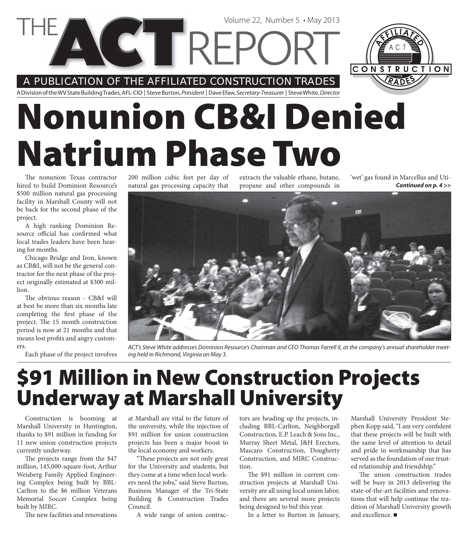A PUBLICATION OF THE AFFILIATED CONSTRUCTION TRADES

**COTREPC** 

A Division of the WV State Building Trades, AFL-CIO | Steve Burton, President | Dave Efaw, Secretary-Treasurer | Steve White, Director

# **Nonunion CB&I Denied Natrium Phase Two**

The nonunion Texas contractor hired to build Dominion Resource's \$500 million natural gas processing facility in Marshall County will not be back for the second phase of the project.

A high ranking Dominion Resource official has confirmed what local trades leaders have been hearing for months.

Chicago Bridge and Iron, known as CB&I, will not be the general contractor for the next phase of the project originally estimated at \$300 million.

The obvious reason - CB&I will at best be more than six months late completing the first phase of the project. The 15 month construction period is now at 21 months and that means lost profits and angry customers.

Each phase of the project involves

200 million cubic feet per day of natural gas processing capacity that

extracts the valuable ethane, butane, propane and other compounds in

Volume 22, Number 5 • May 2013

*Continued on p. 4 >>* 'wet' gas found in Marcellus and Uti-

CONSTRUCTION



ACT's Steve White addresses Dominion Resource's Chairman and CEO Thomas Farrell II, at the company's annual shareholder meeting held in Richmond, Virginia on May 3.

### **\$91 Million in New Construction Projects Underway at Marshall University**

Construction is booming at Marshall University in Huntington, thanks to \$91 million in funding for 11 new union construction projects currently underway.

The projects range from the \$47 million, 145,000-square-foot, Arthur Weisberg Family Applied Engineering Complex being built by BBL-Carlton to the \$6 million Veterans Memorial Soccer Complex being built by MIRC.

The new facilities and renovations

at Marshall are vital to the future of the university, while the injection of \$91 million for union construction projects has been a major boost to the local economy and workers.

"These projects are not only great for the University and students, but they come at a time when local workers need the jobs," said Steve Burton, Business Manager of the Tri-State Building & Construction Trades Council.

A wide range of union contrac-

tors are heading up the projects, including BBL-Carlton, Neighborgall Construction, E.P. Leach & Sons Inc., Murray Sheet Metal, J&H Erectors, Mascaro Construction, Dougherty Construction, and MIRC Construction.

The \$91 million in current construction projects at Marshall University are all using local union labor, and there are several more projects being designed to bid this year.

In a letter to Burton in January,

Marshall University President Stephen Kopp said, "I am very confident that these projects will be built with the same level of attention to detail and pride in workmanship that has served as the foundation of our trusted relationship and friendship."

The union construction trades will be busy in 2013 delivering the state-of-the-art facilities and renovations that will help continue the tradition of Marshall University growth and excellence.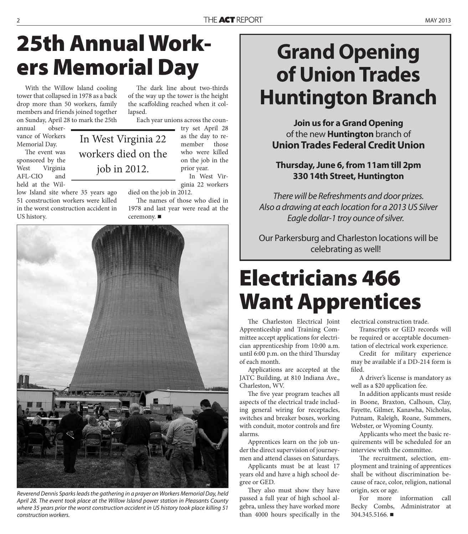# **25th Annual Workers Memorial Day**

In West Virginia 22

workers died on the

job in 2012.

With the Willow Island cooling tower that collapsed in 1978 as a back drop more than 50 workers, family members and friends joined together on Sunday, April 28 to mark the 25th

annual observance of Workers Memorial Day.

The event was sponsored by the West Virginia AFL-CIO and held at the Wil-

low Island site where 35 years ago 51 construction workers were killed in the worst construction accident in US history.

The dark line about two-thirds of the way up the tower is the height the scaffolding reached when it collapsed.

Each year unions across the coun-

try set April 28 as the day to remember those who were killed on the job in the prior year.

In West Virginia 22 workers

died on the job in 2012.

The names of those who died in 1978 and last year were read at the ceremony. ■

Reverend Dennis Sparks leads the gathering in a prayer on Workers Memorial Day, held April 28. The event took place at the Willow Island power station in Pleasants County where 35 years prior the worst construction accident in US history took place killing 51 construction workers.

### **Grand Opening of Union Trades Huntington Branch**

**Join us for a Grand Opening** of the new **Huntington** branch of **Union Trades Federal Credit Union**

#### **Thursday, June 6, from 11am till 2pm 330 14th Street, Huntington**

There will be Refreshments and door prizes. Also a drawing at each location for a 2013 US Silver Eagle dollar-1 troy ounce of silver.

Our Parkersburg and Charleston locations will be celebrating as well!

# **Electricians 466 Want Apprentices**

The Charleston Electrical Joint Apprenticeship and Training Committee accept applications for electrician apprenticeship from 10:00 a.m. until 6:00 p.m. on the third Thursday of each month.

Applications are accepted at the JATC Building, at 810 Indiana Ave., Charleston, WV.

The five year program teaches all aspects of the electrical trade including general wiring for receptacles, switches and breaker boxes, working with conduit, motor controls and fire alarms.

Apprentices learn on the job under the direct supervision of journeymen and attend classes on Saturdays.

Applicants must be at least 17 years old and have a high school degree or GED.

They also must show they have passed a full year of high school algebra, unless they have worked more than 4000 hours specifically in the electrical construction trade.

Transcripts or GED records will be required or acceptable documentation of electrical work experience.

Credit for military experience may be available if a DD-214 form is filed.

A driver's license is mandatory as well as a \$20 application fee.

In addition applicants must reside in Boone, Braxton, Calhoun, Clay, Fayette, Gilmer, Kanawha, Nicholas, Putnam, Raleigh, Roane, Summers, Webster, or Wyoming County.

Applicants who meet the basic requirements will be scheduled for an interview with the committee.

The recruitment, selection, employment and training of apprentices shall be without discrimination because of race, color, religion, national origin, sex or age.

For more information call Becky Combs, Administrator at 304.345.5166.

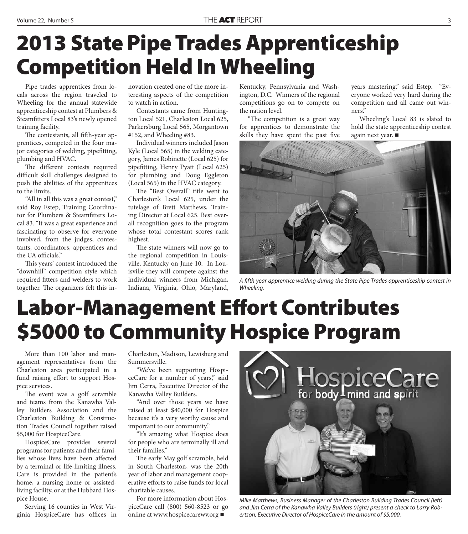## **2013 State Pipe Trades Apprenticeship Competition Held In Wheeling**

Pipe trades apprentices from locals across the region traveled to Wheeling for the annual statewide apprenticeship contest at Plumbers & Steamfitters Local 83's newly opened training facility.

The contestants, all fifth-year apprentices, competed in the four major categories of welding, pipefitting, plumbing and HVAC.

The different contests required difficult skill challenges designed to push the abilities of the apprentices to the limits.

"All in all this was a great contest," said Roy Estep, Training Coordinator for Plumbers & Steamfitters Local 83. "It was a great experience and fascinating to observe for everyone involved, from the judges, contestants, coordinators, apprentices and the UA officials."

This years' contest introduced the "downhill" competition style which required fitters and welders to work together. The organizers felt this innovation created one of the more interesting aspects of the competition to watch in action.

Contestants came from Huntington Local 521, Charleston Local 625, Parkersburg Local 565, Morgantown #152, and Wheeling #83.

Individual winners included Jason Kyle (Local 565) in the welding category, James Robinette (Local 625) for pipefitting, Henry Pyatt (Local 625) for plumbing and Doug Eggleton (Local 565) in the HVAC category.

The "Best Overall" title went to Charleston's Local 625, under the tutelage of Brett Matthews, Training Director at Local 625. Best overall recognition goes to the program whose total contestant scores rank highest.

The state winners will now go to the regional competition in Louisville, Kentucky on June 10. In Louisville they will compete against the individual winners from Michigan, Indiana, Virginia, Ohio, Maryland,

Kentucky, Pennsylvania and Washington, D.C. Winners of the regional competitions go on to compete on the nation level.

"The competition is a great way for apprentices to demonstrate the skills they have spent the past five

years mastering," said Estep. "Everyone worked very hard during the competition and all came out winners."

Wheeling's Local 83 is slated to hold the state apprenticeship contest again next year.



A fifth year apprentice welding during the State Pipe Trades apprenticeship contest in Wheeling.

### **Labor-Management Effort Contributes \$5000 to Community Hospice Program**

More than 100 labor and management representatives from the Charleston area participated in a fund raising effort to support Hospice services.

The event was a golf scramble and teams from the Kanawha Valley Builders Association and the Charleston Building & Construction Trades Council together raised \$5,000 for HospiceCare.

HospiceCare provides several programs for patients and their families whose lives have been affected by a terminal or life-limiting illness. Care is provided in the patient's home, a nursing home or assistedliving facility, or at the Hubbard Hospice House.

Serving 16 counties in West Virginia HospiceCare has offices in Charleston, Madison, Lewisburg and Summersville.

"We've been supporting HospiceCare for a number of years," said Jim Cerra, Executive Director of the Kanawha Valley Builders.

"And over those years we have raised at least \$40,000 for Hospice because it's a very worthy cause and important to our community."

"It's amazing what Hospice does for people who are terminally ill and their families."

The early May golf scramble, held in South Charleston, was the 20th year of labor and management cooperative efforts to raise funds for local charitable causes.

For more information about HospiceCare call (800) 560-8523 or go online at www.hospicecarewv.org



Mike Matthews, Business Manager of the Charleston Building Trades Council (left) and Jim Cerra of the Kanawha Valley Builders (right) present a check to Larry Robertson, Executive Director of HospiceCare in the amount of \$5,000.